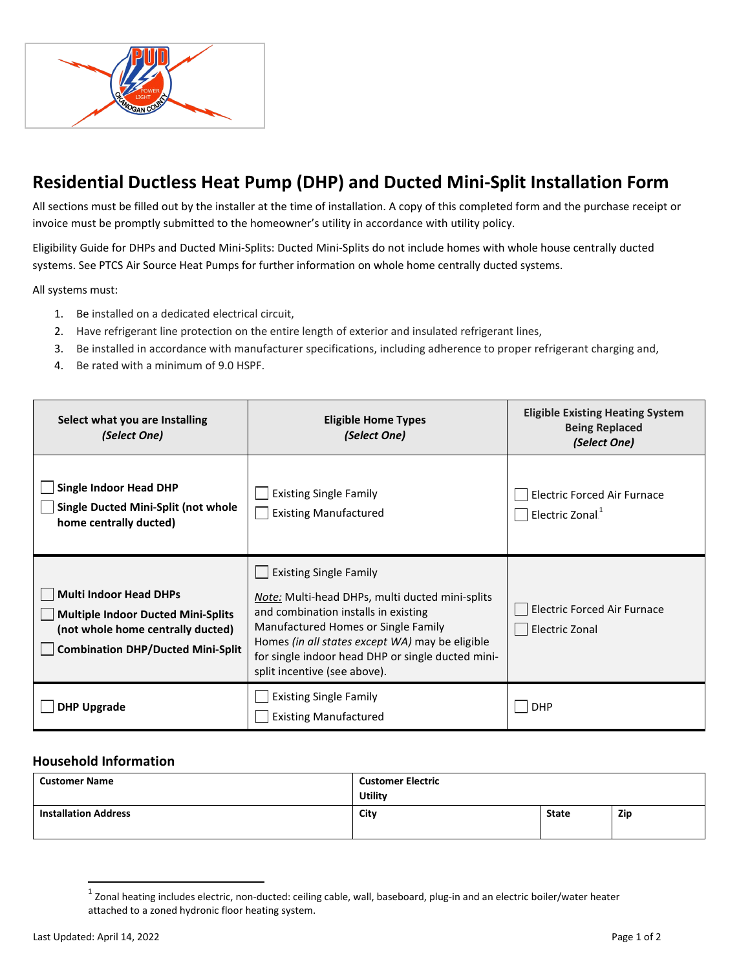

## **Residential Ductless Heat Pump (DHP) and Ducted Mini-Split Installation Form**

All sections must be filled out by the installer at the time of installation. A copy of this completed form and the purchase receipt or invoice must be promptly submitted to the homeowner's utility in accordance with utility policy.

Eligibility Guide for DHPs and Ducted Mini-Splits: Ducted Mini-Splits do not include homes with whole house centrally ducted systems. See PTCS Air Source Heat Pumps for further information on whole home centrally ducted systems.

All systems must:

- 1. Be installed on a dedicated electrical circuit,
- 2. Have refrigerant line protection on the entire length of exterior and insulated refrigerant lines,
- 3. Be installed in accordance with manufacturer specifications, including adherence to proper refrigerant charging and,
- 4. [Be rated with a minimum of 9.0 HSPF.](https://www.bpa.gov/energy-and-services/efficiency)

| Select what you are Installing<br>(Select One)                                                                                                              | <b>Eligible Home Types</b><br>(Select One)                                                                                                                                                                                                                                                                     | <b>Eligible Existing Heating System</b><br><b>Being Replaced</b><br>(Select One) |
|-------------------------------------------------------------------------------------------------------------------------------------------------------------|----------------------------------------------------------------------------------------------------------------------------------------------------------------------------------------------------------------------------------------------------------------------------------------------------------------|----------------------------------------------------------------------------------|
| <b>Single Indoor Head DHP</b><br>Single Ducted Mini-Split (not whole<br>home centrally ducted)                                                              | <b>Existing Single Family</b><br><b>Existing Manufactured</b>                                                                                                                                                                                                                                                  | <b>Electric Forced Air Furnace</b><br>Electric Zonal. <sup>1</sup>               |
| <b>Multi Indoor Head DHPs</b><br><b>Multiple Indoor Ducted Mini-Splits</b><br>(not whole home centrally ducted)<br><b>Combination DHP/Ducted Mini-Split</b> | <b>Existing Single Family</b><br><i>Note:</i> Multi-head DHPs, multi ducted mini-splits<br>and combination installs in existing<br>Manufactured Homes or Single Family<br>Homes (in all states except WA) may be eligible<br>for single indoor head DHP or single ducted mini-<br>split incentive (see above). | <b>Electric Forced Air Furnace</b><br><b>Electric Zonal</b>                      |
| <b>DHP Upgrade</b>                                                                                                                                          | <b>Existing Single Family</b><br><b>Existing Manufactured</b>                                                                                                                                                                                                                                                  | <b>DHP</b>                                                                       |

## **Household Information**

| <b>Customer Name</b>        | <b>Customer Electric</b><br><b>Utility</b> |              |     |
|-----------------------------|--------------------------------------------|--------------|-----|
| <b>Installation Address</b> | City                                       | <b>State</b> | Zip |

 $1$  Zonal heating includes electric, non-ducted: ceiling cable, wall, baseboard, plug-in and an electric boiler/water heater attached to a zoned hydronic floor heating system.